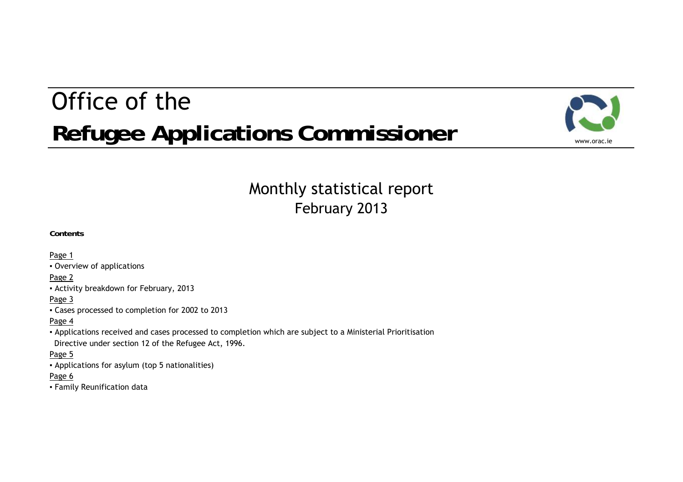# Office of theRefugee Applications Commissioner



# February 2013 Monthly statistical report

**Contents**

Page 1

▪ Overview of applications

Page 2

▪ Activity breakdown for February, 2013

Page 3

▪ Cases processed to completion for 2002 to 2013

#### Page 4

▪ Applications received and cases processed to completion which are subject to a Ministerial Prioritisation Directive under section 12 of the Refugee Act, 1996.

#### Page 5

▪ Applications for asylum (top 5 nationalities)

### Page 6

▪ Family Reunification data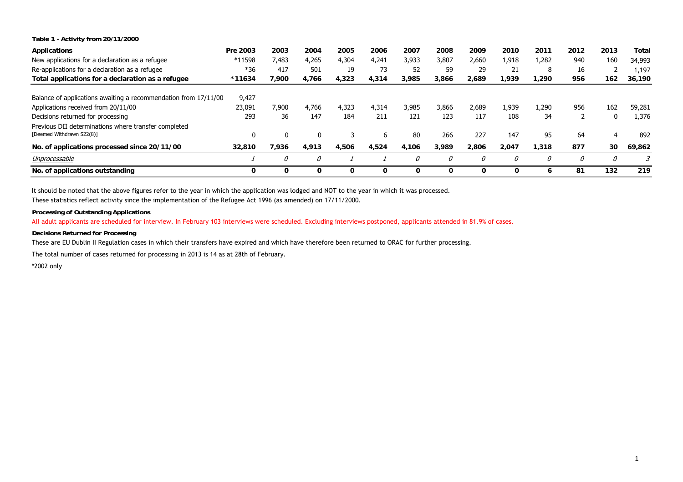**Table 1 - Activity from 20/11/2000**

| <b>Applications</b>                                                               | Pre 2003 | 2003     | 2004          | 2005  | 2006  | 2007  | 2008  | 2009  | 2010     | 2011  | 2012 | 2013 | Total  |
|-----------------------------------------------------------------------------------|----------|----------|---------------|-------|-------|-------|-------|-------|----------|-------|------|------|--------|
| New applications for a declaration as a refugee                                   | *11598   | 7,483    | 4,265         | 4,304 | 4,241 | 3,933 | 3,807 | 2,660 | 1,918    | 1,282 | 940  | 160  | 34,993 |
| Re-applications for a declaration as a refugee                                    | $*36$    | 417      | 501           | 19    | 73    | 52    | 59    | 29    | 21       | 8     | 16   |      | 1,197  |
| Total applications for a declaration as a refugee                                 | *11634   | 7.900    | 4.766         | 4,323 | 4.314 | 3,985 | 3,866 | 2.689 | 1.939    | 1.290 | 956  | 162  | 36,190 |
| Balance of applications awaiting a recommendation from 17/11/00                   | 9,427    |          |               |       |       |       |       |       |          |       |      |      |        |
| Applications received from 20/11/00                                               | 23,091   | 7.900    | 4.766         | 4,323 | 4,314 | 3.985 | 3.866 | 2,689 | 1.939    | 1,290 | 956  | 162  | 59,281 |
| Decisions returned for processing                                                 | 293      | 36       | 147           | 184   | 211   | 121   | 123   | 117   | 108      | 34    |      | 0    | 1,376  |
| Previous DII determinations where transfer completed<br>[Deemed Withdrawn S22(8)] |          | $\Omega$ |               | 3     | 6     | 80    | 266   | 227   | 147      | 95    | 64   | 4    | 892    |
| No. of applications processed since 20/11/00                                      | 32,810   | 7.936    | 4.913         | 4,506 | 4.524 | 4.106 | 3,989 | 2.806 | 2,047    | 1,318 | 877  | 30   | 69,862 |
| Unprocessable                                                                     |          | 0        | $\mathcal{O}$ |       |       | 0     | 0     | 0     | $\theta$ | 0     | 0    | 0    | 3      |
| No. of applications outstanding                                                   | 0        | 0        | $\mathbf{o}$  | 0     | 0     | 0     | 0     | 0     | 0        |       | 81   | 132  | 219    |

It should be noted that the above figures refer to the year in which the application was lodged and NOT to the year in which it was processed.

These statistics reflect activity since the implementation of the Refugee Act 1996 (as amended) on 17/11/2000.

**Processing of Outstanding Applications**

All adult applicants are scheduled for interview. In February 103 interviews were scheduled. Excluding interviews postponed, applicants attended in 81.9% of cases.

**Decisions Returned for Processing**

These are EU Dublin II Regulation cases in which their transfers have expired and which have therefore been returned to ORAC for further processing.

The total number of cases returned for processing in 2013 is 14 as at 28th of February.

\*2002 only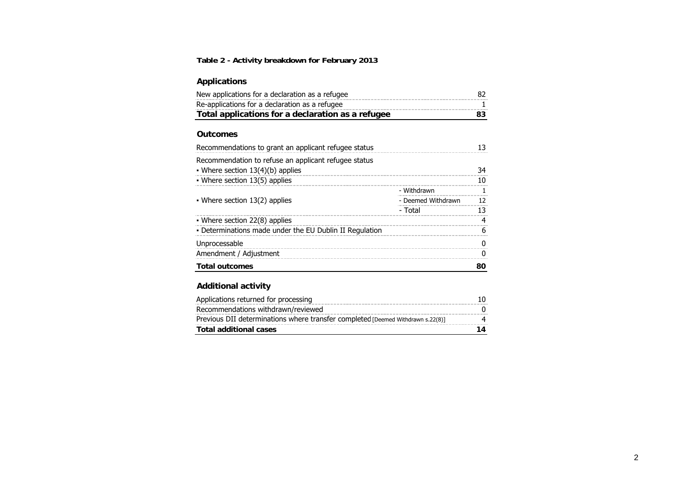### **Table 2 - Activity breakdown for February 2013**

### **Applications**

| New applications for a declaration as a refugee   |     |
|---------------------------------------------------|-----|
| Re-applications for a declaration as a refugee    |     |
| Total applications for a declaration as a refugee | 83. |

#### **Outcomes**

| Recommendations to grant an applicant refugee status    |                    |    |
|---------------------------------------------------------|--------------------|----|
| Recommendation to refuse an applicant refugee status    |                    |    |
| • Where section $13(4)(b)$ applies                      |                    |    |
| • Where section 13(5) applies                           |                    | 10 |
|                                                         | - Withdrawn        |    |
| • Where section $13(2)$ applies                         | - Deemed Withdrawn | 12 |
|                                                         | - Total            |    |
| • Where section 22(8) applies                           |                    |    |
| • Determinations made under the EU Dublin II Regulation |                    |    |
| Unprocessable                                           |                    |    |
| Amendment / Adjustment                                  |                    |    |
| <b>Total outcomes</b>                                   |                    | 80 |

#### **Additional activity**

| Applications returned for processing                                            |  |
|---------------------------------------------------------------------------------|--|
| Recommendations withdrawn/reviewed                                              |  |
| Previous DII determinations where transfer completed [Deemed Withdrawn s.22(8)] |  |
| Total additional cases                                                          |  |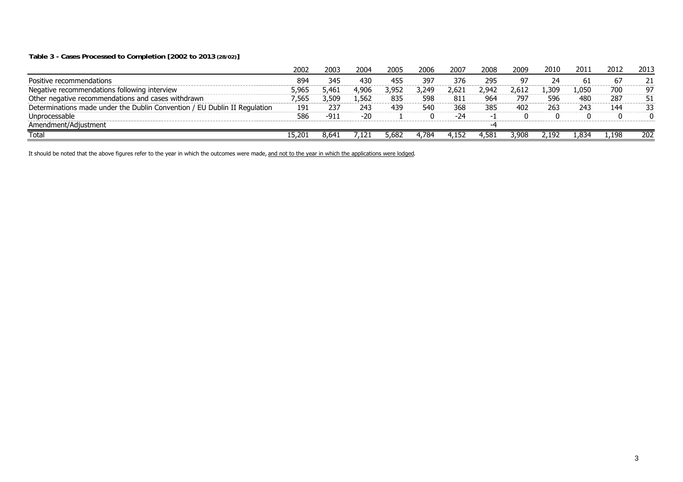#### **Table 3 - Cases Processed to Completion [2002 to 2013 (28/02)]**

|                                                                           | 2002   | 2003  | 2004  | 2005  | 2006  | 2007  | 2008  | 2009  | 2010  | 2011  | 2012  | 2013 |
|---------------------------------------------------------------------------|--------|-------|-------|-------|-------|-------|-------|-------|-------|-------|-------|------|
| Positive recommendations                                                  | 894    | 345   | 430   | 455   | 397   | 376   | 295   | o٦    |       | b.    | 6/    |      |
| Negative recommendations following interview                              | 5,965  | 5.461 | 4,906 | 3,952 | 249.ر | 2.621 | 2.942 | 2.612 | .309  | .050. | 700   | -97  |
| Other negative recommendations and cases withdrawn                        | 565.'  | 509.ر | .562  | 835   | 598   | 811   | 964   | 797   | 596   | 480   | 287   | 51   |
| Determinations made under the Dublin Convention / EU Dublin II Regulation | 191    | 237   | 243   | 439   | 540   | 368   | 385   | 402   | 263   | 243   | 144   | 33   |
| Unprocessable                                                             | 586    | -91)  | $-20$ |       |       | -24   |       |       |       |       |       | n    |
| Amendment/Adjustment                                                      |        |       |       |       |       |       |       |       |       |       |       |      |
| Total                                                                     | .5,201 | 8.641 | .121  | 5,682 | .784، |       | -58.  | 3.908 | 2.192 | .834ء | 1,198 | 202  |

It should be noted that the above figures refer to the year in which the outcomes were made, and not to the year in which the applications were lodged.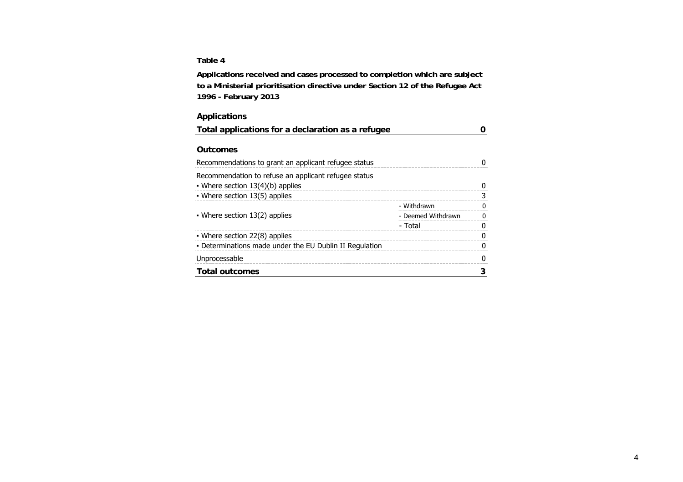#### **Table 4**

**Applications received and cases processed to completion which are subject to a Ministerial prioritisation directive under Section 12 of the Refugee Act 1996 - February 2013**

### **Applications**

| Total applications for a declaration as a refugee       |                    |  |
|---------------------------------------------------------|--------------------|--|
|                                                         |                    |  |
| <b>Outcomes</b>                                         |                    |  |
| Recommendations to grant an applicant refugee status    |                    |  |
| Recommendation to refuse an applicant refugee status    |                    |  |
| • Where section 13(4)(b) applies                        |                    |  |
| • Where section 13(5) applies                           |                    |  |
|                                                         | - Withdrawn        |  |
| • Where section 13(2) applies                           | - Deemed Withdrawn |  |
|                                                         | - Total            |  |
| • Where section 22(8) applies                           |                    |  |
| - Determinations made under the EU Dublin II Regulation |                    |  |
| Unprocessable                                           |                    |  |
| <b>Total outcomes</b>                                   |                    |  |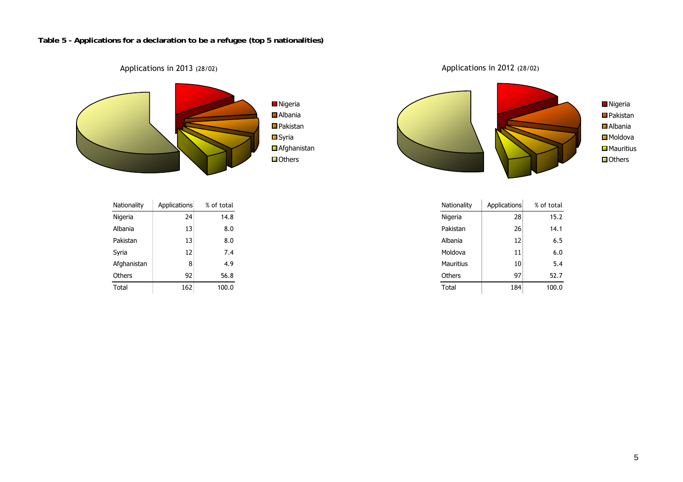### **Table 5 - Applications for a declaration to be a refugee (top 5 nationalities)**



| Nationality | Applications | % of total | Nationality   | Applications    | % of total |
|-------------|--------------|------------|---------------|-----------------|------------|
| Nigeria     | 24           | 14.8       | Nigeria       | 28              |            |
| Albania     | 13           | 8.0        | Pakistan      | 26              |            |
| Pakistan    | 13           | 8.0        | Albania       | 12              |            |
| Syria       | 12           | 7.4        | Moldova       | 11              |            |
| Afghanistan | 8            | 4.9        | Mauritius     | 10 <sub>1</sub> |            |
| Others      | 92           | 56.8       | <b>Others</b> | 97              |            |
| Total       | 162          | 100.0      | Total         | 184             |            |

Applications in 2012 (28/02)



| Nationality | Applications | % of total | Nationality      | Applications |
|-------------|--------------|------------|------------------|--------------|
| Nigeria     | 24           | 14.8       | Nigeria          | 28           |
| Albania     | 13           | 8.0        | Pakistan         | 26           |
| Pakistan    | 13           | 8.0        | Albania          | 12           |
| Syria       | 12           | 7.4        | Moldova          | 11           |
| Afghanistan | 8            | 4.9        | <b>Mauritius</b> | 10           |
| Others      | 92           | 56.8       | Others           | 97           |
| Total       | 162          | 100.0      | Total            | 184          |